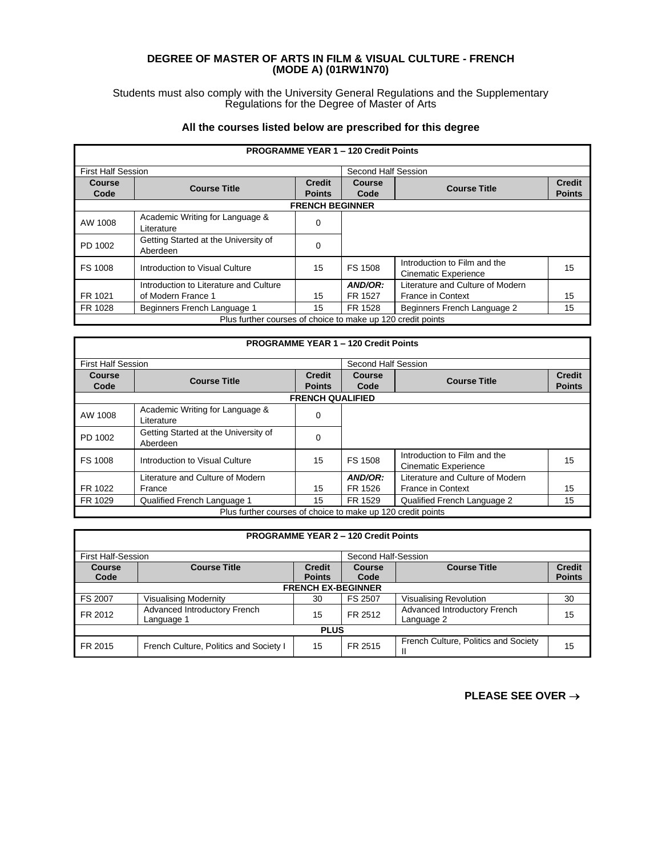## **DEGREE OF MASTER OF ARTS IN FILM & VISUAL CULTURE - FRENCH (MODE A) (01RW1N70)**

Students must also comply with the University General Regulations and the Supplementary Regulations for the Degree of Master of Arts

## **All the courses listed below are prescribed for this degree**

| <b>PROGRAMME YEAR 1 - 120 Credit Points</b>                 |                                                  |                                |                |                                                             |                                |  |
|-------------------------------------------------------------|--------------------------------------------------|--------------------------------|----------------|-------------------------------------------------------------|--------------------------------|--|
|                                                             | <b>First Half Session</b>                        |                                |                | Second Half Session                                         |                                |  |
| Course<br>Code                                              | <b>Course Title</b>                              | <b>Credit</b><br><b>Points</b> | Course<br>Code | <b>Course Title</b>                                         | <b>Credit</b><br><b>Points</b> |  |
|                                                             | <b>FRENCH BEGINNER</b>                           |                                |                |                                                             |                                |  |
| AW 1008                                                     | Academic Writing for Language &<br>Literature    | 0                              |                |                                                             |                                |  |
| PD 1002                                                     | Getting Started at the University of<br>Aberdeen | $\Omega$                       |                |                                                             |                                |  |
| FS 1008                                                     | Introduction to Visual Culture                   | 15                             | <b>FS 1508</b> | Introduction to Film and the<br><b>Cinematic Experience</b> | 15                             |  |
|                                                             | Introduction to Literature and Culture           |                                | AND/OR:        | Literature and Culture of Modern                            |                                |  |
| FR 1021                                                     | of Modern France 1                               | 15                             | FR 1527        | <b>France in Context</b>                                    | 15                             |  |
| FR 1028                                                     | Beginners French Language 1                      | 15                             | FR 1528        | Beginners French Language 2                                 | 15                             |  |
| Plus further courses of choice to make up 120 credit points |                                                  |                                |                |                                                             |                                |  |

|                       | <b>PROGRAMME YEAR 1 - 120 Credit Points</b>                 |                                |                |                                                             |                                |  |
|-----------------------|-------------------------------------------------------------|--------------------------------|----------------|-------------------------------------------------------------|--------------------------------|--|
|                       | Second Half Session<br><b>First Half Session</b>            |                                |                |                                                             |                                |  |
| <b>Course</b><br>Code | <b>Course Title</b>                                         | <b>Credit</b><br><b>Points</b> | Course<br>Code | <b>Course Title</b>                                         | <b>Credit</b><br><b>Points</b> |  |
|                       |                                                             | <b>FRENCH QUALIFIED</b>        |                |                                                             |                                |  |
| AW 1008               | Academic Writing for Language &<br>Literature               | 0                              |                |                                                             |                                |  |
| PD 1002               | Getting Started at the University of<br>Aberdeen            | 0                              |                |                                                             |                                |  |
| FS 1008               | Introduction to Visual Culture                              | 15                             | FS 1508        | Introduction to Film and the<br><b>Cinematic Experience</b> | 15                             |  |
|                       | Literature and Culture of Modern                            |                                | AND/OR:        | Literature and Culture of Modern                            |                                |  |
| FR 1022               | France                                                      | 15                             | FR 1526        | <b>France in Context</b>                                    | 15                             |  |
| FR 1029               | Qualified French Language 1                                 | 15                             | FR 1529        | Qualified French Language 2                                 | 15                             |  |
|                       | Plus further courses of choice to make up 120 credit points |                                |                |                                                             |                                |  |

| <b>PROGRAMME YEAR 2 – 120 Credit Points</b> |
|---------------------------------------------|
|---------------------------------------------|

Г

| <b>First Half-Session</b> |                                        |               | Second Half-Session |                                      |               |  |
|---------------------------|----------------------------------------|---------------|---------------------|--------------------------------------|---------------|--|
| <b>Course</b>             | <b>Course Title</b>                    | <b>Credit</b> | <b>Course</b>       | <b>Course Title</b>                  | <b>Credit</b> |  |
| Code                      |                                        | <b>Points</b> | Code                |                                      | <b>Points</b> |  |
|                           | <b>FRENCH EX-BEGINNER</b>              |               |                     |                                      |               |  |
| FS 2007                   | <b>Visualising Modernity</b>           | 30            | <b>FS 2507</b>      | <b>Visualising Revolution</b>        | 30            |  |
| FR 2012                   | Advanced Introductory French           | 15            | FR 2512             | Advanced Introductory French         | 15            |  |
|                           | Language 1                             |               |                     | Language 2                           |               |  |
| <b>PLUS</b>               |                                        |               |                     |                                      |               |  |
| FR 2015                   | French Culture, Politics and Society I | 15            | FR 2515             | French Culture, Politics and Society | 15            |  |
|                           |                                        |               |                     |                                      |               |  |

**PLEASE SEE OVER** →